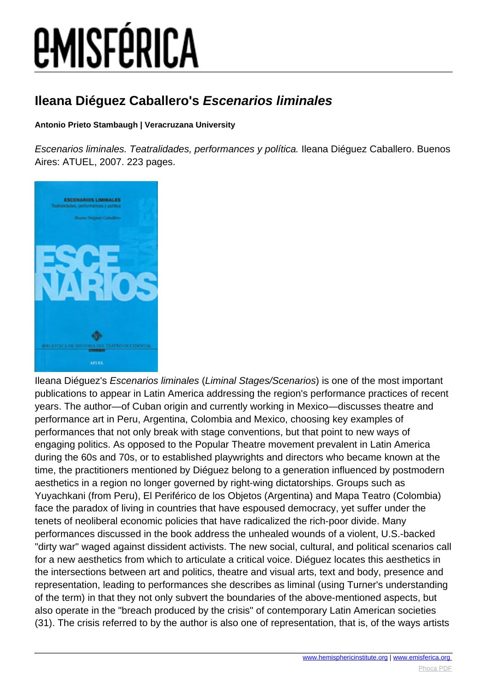### **Ileana Diéguez Caballero's Escenarios liminales**

### **Antonio Prieto Stambaugh | Veracruzana University**

Escenarios liminales. Teatralidades, performances y política. Ileana Diéguez Caballero. Buenos Aires: ATUEL, 2007. 223 pages.



Ileana Diéguez's Escenarios liminales (Liminal Stages/Scenarios) is one of the most important publications to appear in Latin America addressing the region's performance practices of recent years. The author—of Cuban origin and currently working in Mexico—discusses theatre and performance art in Peru, Argentina, Colombia and Mexico, choosing key examples of performances that not only break with stage conventions, but that point to new ways of engaging politics. As opposed to the Popular Theatre movement prevalent in Latin America during the 60s and 70s, or to established playwrights and directors who became known at the time, the practitioners mentioned by Diéguez belong to a generation influenced by postmodern aesthetics in a region no longer governed by right-wing dictatorships. Groups such as Yuyachkani (from Peru), El Periférico de los Objetos (Argentina) and Mapa Teatro (Colombia) face the paradox of living in countries that have espoused democracy, yet suffer under the tenets of neoliberal economic policies that have radicalized the rich-poor divide. Many performances discussed in the book address the unhealed wounds of a violent, U.S.-backed "dirty war" waged against dissident activists. The new social, cultural, and political scenarios call for a new aesthetics from which to articulate a critical voice. Diéguez locates this aesthetics in the intersections between art and politics, theatre and visual arts, text and body, presence and representation, leading to performances she describes as liminal (using Turner's understanding of the term) in that they not only subvert the boundaries of the above-mentioned aspects, but also operate in the "breach produced by the crisis" of contemporary Latin American societies (31). The crisis referred to by the author is also one of representation, that is, of the ways artists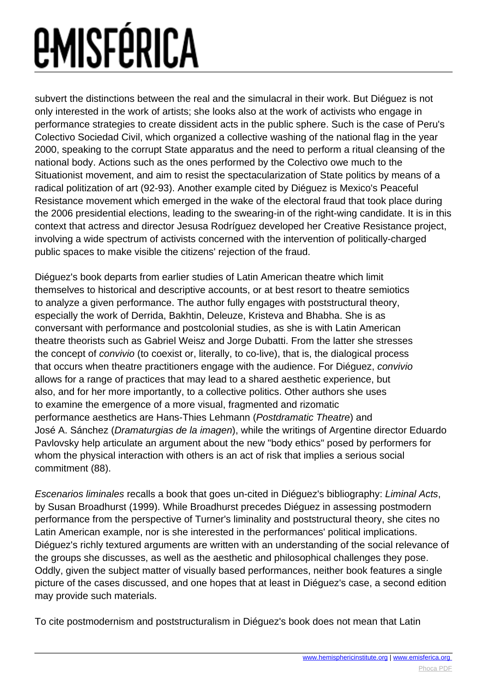subvert the distinctions between the real and the simulacral in their work. But Diéguez is not only interested in the work of artists; she looks also at the work of activists who engage in performance strategies to create dissident acts in the public sphere. Such is the case of Peru's Colectivo Sociedad Civil, which organized a collective washing of the national flag in the year 2000, speaking to the corrupt State apparatus and the need to perform a ritual cleansing of the national body. Actions such as the ones performed by the Colectivo owe much to the Situationist movement, and aim to resist the spectacularization of State politics by means of a radical politization of art (92-93). Another example cited by Diéguez is Mexico's Peaceful Resistance movement which emerged in the wake of the electoral fraud that took place during the 2006 presidential elections, leading to the swearing-in of the right-wing candidate. It is in this context that actress and director Jesusa Rodríguez developed her Creative Resistance project, involving a wide spectrum of activists concerned with the intervention of politically-charged public spaces to make visible the citizens' rejection of the fraud.

Diéguez's book departs from earlier studies of Latin American theatre which limit themselves to historical and descriptive accounts, or at best resort to theatre semiotics to analyze a given performance. The author fully engages with poststructural theory, especially the work of Derrida, Bakhtin, Deleuze, Kristeva and Bhabha. She is as conversant with performance and postcolonial studies, as she is with Latin American theatre theorists such as Gabriel Weisz and Jorge Dubatti. From the latter she stresses the concept of convivio (to coexist or, literally, to co-live), that is, the dialogical process that occurs when theatre practitioners engage with the audience. For Diéguez, convivio allows for a range of practices that may lead to a shared aesthetic experience, but also, and for her more importantly, to a collective politics. Other authors she uses to examine the emergence of a more visual, fragmented and rizomatic performance aesthetics are Hans-Thies Lehmann (Postdramatic Theatre) and José A. Sánchez (Dramaturgias de la imagen), while the writings of Argentine director Eduardo Pavlovsky help articulate an argument about the new "body ethics" posed by performers for whom the physical interaction with others is an act of risk that implies a serious social commitment (88).

Escenarios liminales recalls a book that goes un-cited in Diéguez's bibliography: Liminal Acts, by Susan Broadhurst (1999). While Broadhurst precedes Diéguez in assessing postmodern performance from the perspective of Turner's liminality and poststructural theory, she cites no Latin American example, nor is she interested in the performances' political implications. Diéguez's richly textured arguments are written with an understanding of the social relevance of the groups she discusses, as well as the aesthetic and philosophical challenges they pose. Oddly, given the subject matter of visually based performances, neither book features a single picture of the cases discussed, and one hopes that at least in Diéguez's case, a second edition may provide such materials.

To cite postmodernism and poststructuralism in Diéguez's book does not mean that Latin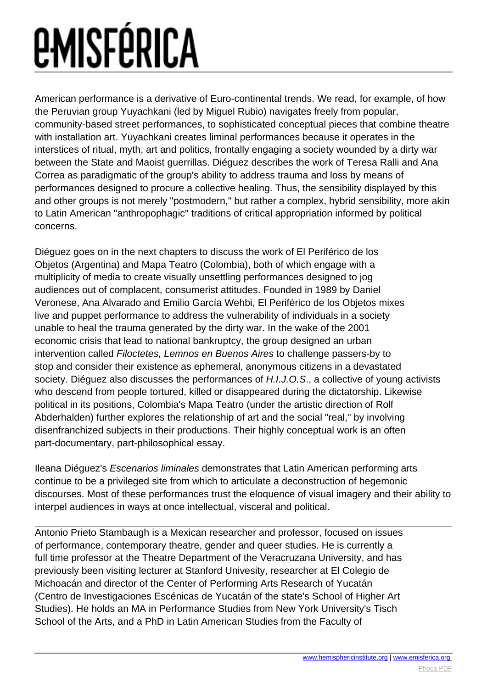American performance is a derivative of Euro-continental trends. We read, for example, of how the Peruvian group Yuyachkani (led by Miguel Rubio) navigates freely from popular, community-based street performances, to sophisticated conceptual pieces that combine theatre with installation art. Yuyachkani creates liminal performances because it operates in the interstices of ritual, myth, art and politics, frontally engaging a society wounded by a dirty war between the State and Maoist guerrillas. Diéguez describes the work of Teresa Ralli and Ana Correa as paradigmatic of the group's ability to address trauma and loss by means of performances designed to procure a collective healing. Thus, the sensibility displayed by this and other groups is not merely "postmodern," but rather a complex, hybrid sensibility, more akin to Latin American "anthropophagic" traditions of critical appropriation informed by political concerns.

Diéguez goes on in the next chapters to discuss the work of El Periférico de los Objetos (Argentina) and Mapa Teatro (Colombia), both of which engage with a multiplicity of media to create visually unsettling performances designed to jog audiences out of complacent, consumerist attitudes. Founded in 1989 by Daniel Veronese, Ana Alvarado and Emilio García Wehbi, El Periférico de los Objetos mixes live and puppet performance to address the vulnerability of individuals in a society unable to heal the trauma generated by the dirty war. In the wake of the 2001 economic crisis that lead to national bankruptcy, the group designed an urban intervention called Filoctetes, Lemnos en Buenos Aires to challenge passers-by to stop and consider their existence as ephemeral, anonymous citizens in a devastated society. Diéguez also discusses the performances of H.I.J.O.S., a collective of young activists who descend from people tortured, killed or disappeared during the dictatorship. Likewise political in its positions, Colombia's Mapa Teatro (under the artistic direction of Rolf Abderhalden) further explores the relationship of art and the social "real," by involving disenfranchized subjects in their productions. Their highly conceptual work is an often part-documentary, part-philosophical essay.

Ileana Diéguez's Escenarios liminales demonstrates that Latin American performing arts continue to be a privileged site from which to articulate a deconstruction of hegemonic discourses. Most of these performances trust the eloquence of visual imagery and their ability to interpel audiences in ways at once intellectual, visceral and political.

Antonio Prieto Stambaugh is a Mexican researcher and professor, focused on issues of performance, contemporary theatre, gender and queer studies. He is currently a full time professor at the Theatre Department of the Veracruzana University, and has previously been visiting lecturer at Stanford Univesity, researcher at El Colegio de Michoacán and director of the Center of Performing Arts Research of Yucatán (Centro de Investigaciones Escénicas de Yucatán of the state's School of Higher Art Studies). He holds an MA in Performance Studies from New York University's Tisch School of the Arts, and a PhD in Latin American Studies from the Faculty of